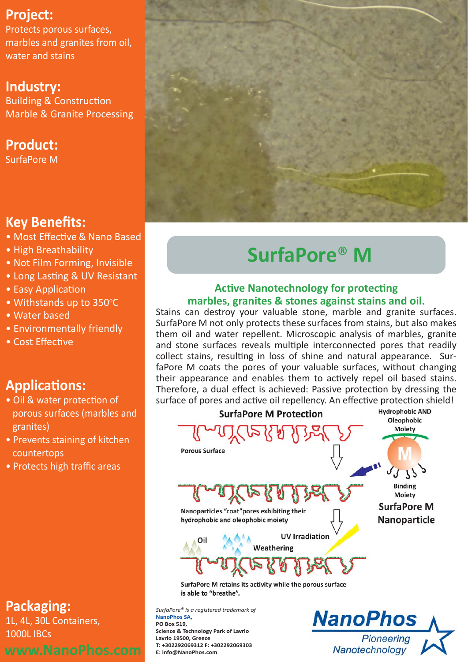## **Project:**

Protects porous surfaces, marbles and granites from oil, water and stains

## **Industry:**

Building & Construction Marble & Granite Processing

## **Product:**

SurfaPore M

## **Key Benefits:**

- Most Effective & Nano Based
- High Breathability
- Not Film Forming, Invisible
- Long Lasting & UV Resistant
- Easy Application
- Withstands up to 350°C
- Water based
- Environmentally friendly
- Cost Effective

## **Applications:**

- Oil & water protection of porous surfaces (marbles and granites)
- Prevents staining of kitchen countertops
- Protects high traffic areas

## **Packaging:**

1L, 4L, 30L Containers, 1000L IBCs



# **SurfaPore**® **M**

### **Active Nanotechnology for protecting marbles, granites & stones against stains and oil.**

Stains can destroy your valuable stone, marble and granite surfaces. SurfaPore M not only protects these surfaces from stains, but also makes them oil and water repellent. Microscopic analysis of marbles, granite and stone surfaces reveals multiple interconnected pores that readily collect stains, resulting in loss of shine and natural appearance. SurfaPore M coats the pores of your valuable surfaces, without changing their appearance and enables them to actively repel oil based stains. Therefore, a dual effect is achieved: Passive protection by dressing the surface of pores and active oil repellency. An effective protection shield!



is able to "breathe".

*SurfaPore® is a registered trademark of*  **NanoPhos SA, PO Box 519, Science & Technology Park of Lavrio Lavrio 19500, Greece T: +302292069312 F: +302292069303 E: info@NanoPhos.com**